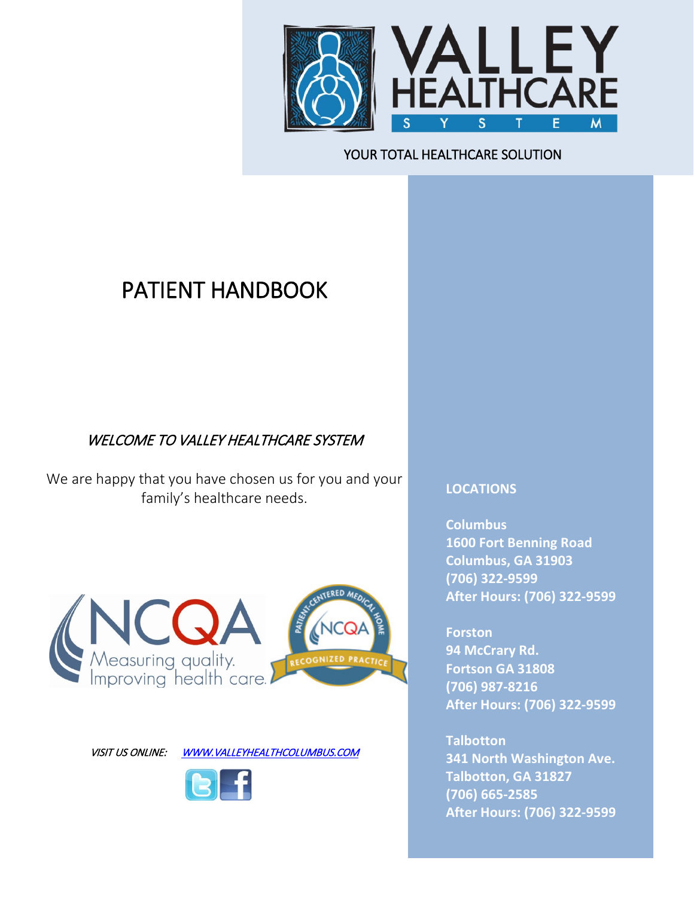

#### j YOUR TOTAL HEALTHCARE SOLUTION

# PATIENT HANDBOOK

## WELCOME TO VALLEY HEALTHCARE SYSTEM

We are happy that you have chosen us for you and your family's healthcare needs.



VISIT US ONLINE: WWW.VALLEYHEALTHCOLUMBUS.COM



#### **LOCATIONS**

**Columbus 1600 Fort Benning Road Columbus, GA 31903 (706) 322-9599 After Hours: (706) 322-9599**

**Forston 94 McCrary Rd. Fortson GA 31808 (706) 987-8216 After Hours: (706) 322-9599**

**Talbotton 341 North Washington Ave. Talbotton, GA 31827 (706) 665-2585 After Hours: (706) 322-9599**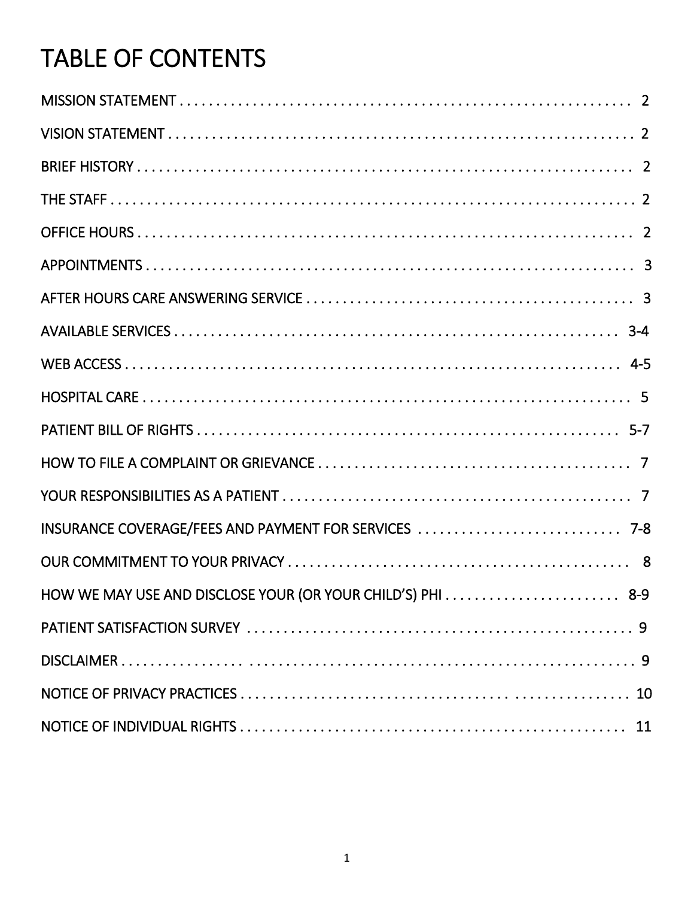# **TABLE OF CONTENTS**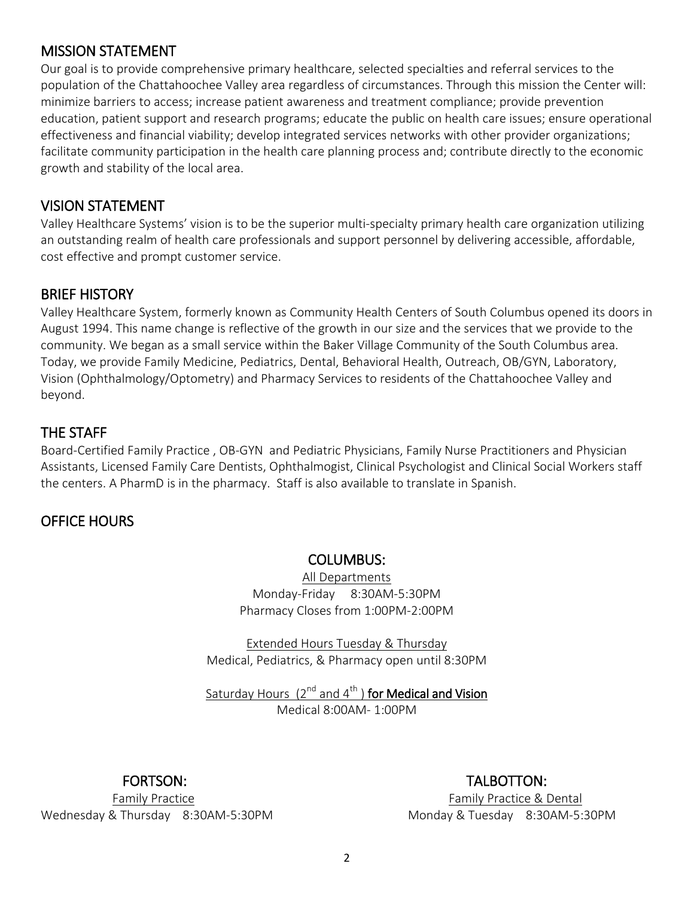#### MISSION STATEMENT

Our goal is to provide comprehensive primary healthcare, selected specialties and referral services to the population of the Chattahoochee Valley area regardless of circumstances. Through this mission the Center will: minimize barriers to access; increase patient awareness and treatment compliance; provide prevention education, patient support and research programs; educate the public on health care issues; ensure operational effectiveness and financial viability; develop integrated services networks with other provider organizations; facilitate community participation in the health care planning process and; contribute directly to the economic growth and stability of the local area.

#### VISION STATEMENT

Valley Healthcare Systems' vision is to be the superior multi-specialty primary health care organization utilizing an outstanding realm of health care professionals and support personnel by delivering accessible, affordable, cost effective and prompt customer service.

#### BRIEF HISTORY

Valley Healthcare System, formerly known as Community Health Centers of South Columbus opened its doors in August 1994. This name change is reflective of the growth in our size and the services that we provide to the community. We began as a small service within the Baker Village Community of the South Columbus area. Today, we provide Family Medicine, Pediatrics, Dental, Behavioral Health, Outreach, OB/GYN, Laboratory, Vision (Ophthalmology/Optometry) and Pharmacy Services to residents of the Chattahoochee Valley and beyond.

#### THE STAFF

Board-Certified Family Practice , OB-GYN and Pediatric Physicians, Family Nurse Practitioners and Physician Assistants, Licensed Family Care Dentists, Ophthalmogist, Clinical Psychologist and Clinical Social Workers staff the centers. A PharmD is in the pharmacy. Staff is also available to translate in Spanish.

# OFFICE HOURS

#### COLUMBUS:

All Departments Monday-Friday 8:30AM-5:30PM Pharmacy Closes from 1:00PM-2:00PM

Extended Hours Tuesday & Thursday Medical, Pediatrics, & Pharmacy open until 8:30PM

Saturday Hours  $(2^{nd}$  and  $4^{th}$ ) for Medical and Vision Medical 8:00AM- 1:00PM

Wednesday & Thursday 8:30AM-5:30PM Monday & Tuesday 8:30AM-5:30PM

FORTSON: TALBOTTON:

Family Practice Family Practice & Dental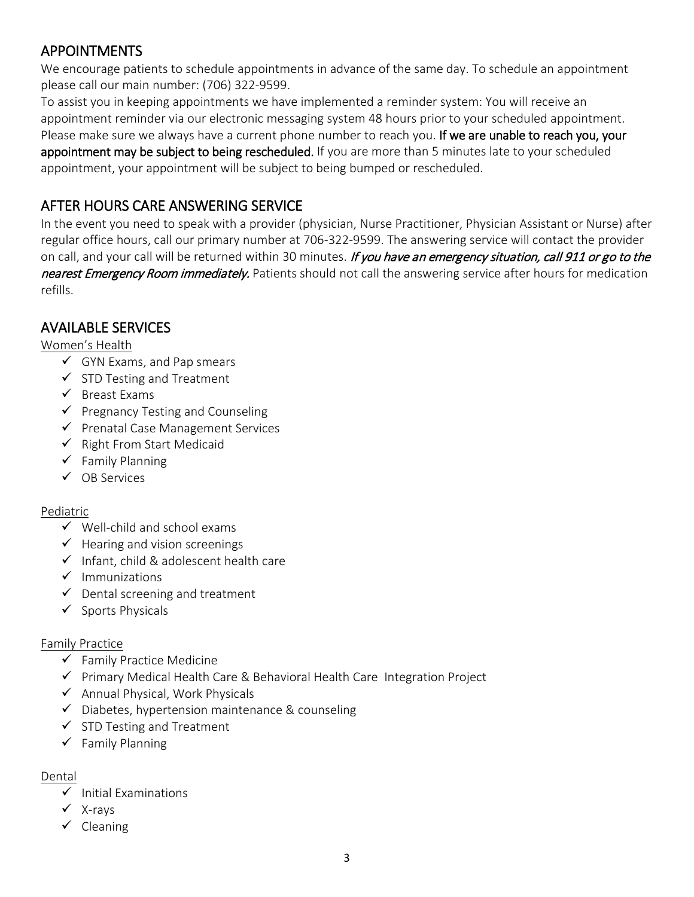# APPOINTMENTS

We encourage patients to schedule appointments in advance of the same day. To schedule an appointment please call our main number: (706) 322-9599.

To assist you in keeping appointments we have implemented a reminder system: You will receive an appointment reminder via our electronic messaging system 48 hours prior to your scheduled appointment. Please make sure we always have a current phone number to reach you. If we are unable to reach you, your appointment may be subject to being rescheduled. If you are more than 5 minutes late to your scheduled appointment, your appointment will be subject to being bumped or rescheduled.

# AFTER HOURS CARE ANSWERING SERVICE

In the event you need to speak with a provider (physician, Nurse Practitioner, Physician Assistant or Nurse) after regular office hours, call our primary number at 706-322-9599. The answering service will contact the provider on call, and your call will be returned within 30 minutes. If you have an emergency situation, call 911 or go to the nearest Emergency Room immediately. Patients should not call the answering service after hours for medication refills.

#### AVAILABLE SERVICES

#### Women's Health

- $\checkmark$  GYN Exams, and Pap smears
- $\checkmark$  STD Testing and Treatment
- $\checkmark$  Breast Exams
- $\checkmark$  Pregnancy Testing and Counseling
- $\checkmark$  Prenatal Case Management Services
- $\checkmark$  Right From Start Medicaid
- $\checkmark$  Family Planning
- $\checkmark$  OB Services

#### Pediatric

- $\checkmark$  Well-child and school exams
- $\checkmark$  Hearing and vision screenings
- $\checkmark$  Infant, child & adolescent health care
- $\checkmark$  Immunizations
- $\checkmark$  Dental screening and treatment
- $\checkmark$  Sports Physicals

#### Family Practice

- $\checkmark$  Family Practice Medicine
- $\checkmark$  Primary Medical Health Care & Behavioral Health Care Integration Project
- $\checkmark$  Annual Physical, Work Physicals
- $\checkmark$  Diabetes, hypertension maintenance & counseling
- $\checkmark$  STD Testing and Treatment
- $\checkmark$  Family Planning

#### Dental

- $\checkmark$  Initial Examinations
- $\checkmark$  X-rays
- $\checkmark$  Cleaning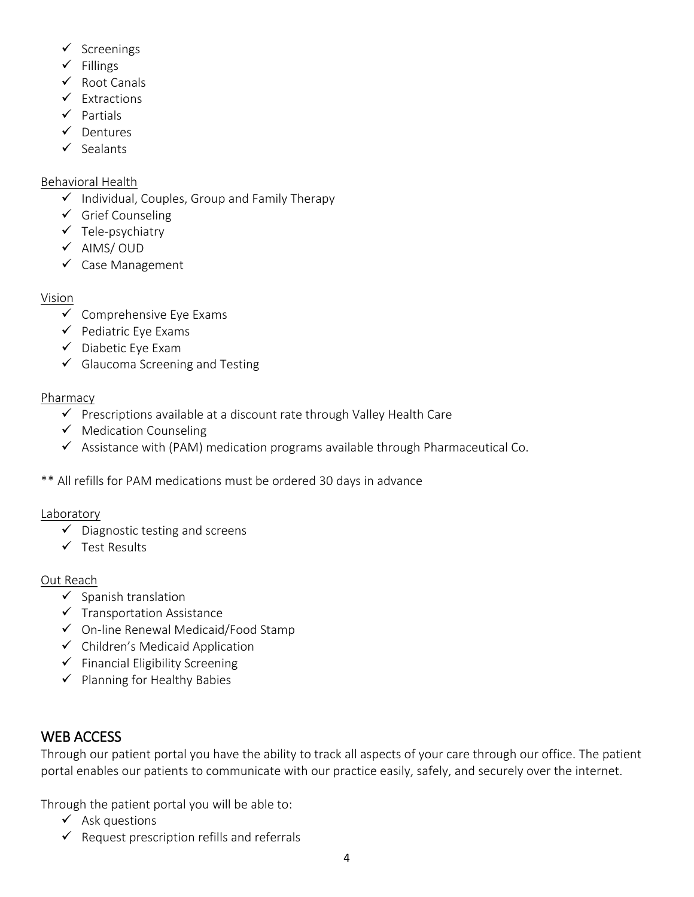- $\checkmark$  Screenings
- $\checkmark$  Fillings
- $\checkmark$  Root Canals
- $\checkmark$  Extractions
- $\checkmark$  Partials
- $\checkmark$  Dentures
- $\checkmark$  Sealants

#### Behavioral Health

- $\checkmark$  Individual, Couples, Group and Family Therapy
- $\checkmark$  Grief Counseling
- $\checkmark$  Tele-psychiatry
- $\checkmark$  AIMS/OUD
- $\checkmark$  Case Management

#### Vision

- $\checkmark$  Comprehensive Eye Exams
- $\checkmark$  Pediatric Eye Exams
- $\checkmark$  Diabetic Eye Exam
- $\checkmark$  Glaucoma Screening and Testing

#### Pharmacy

- $\checkmark$  Prescriptions available at a discount rate through Valley Health Care
- $\checkmark$  Medication Counseling
- $\checkmark$  Assistance with (PAM) medication programs available through Pharmaceutical Co.
- \*\* All refills for PAM medications must be ordered 30 days in advance

#### Laboratory

- $\checkmark$  Diagnostic testing and screens
- $\checkmark$  Test Results

#### Out Reach

- $\checkmark$  Spanish translation
- $\checkmark$  Transportation Assistance
- $\checkmark$  On-line Renewal Medicaid/Food Stamp
- $\checkmark$  Children's Medicaid Application
- $\checkmark$  Financial Eligibility Screening
- $\checkmark$  Planning for Healthy Babies

# WEB ACCESS

Through our patient portal you have the ability to track all aspects of your care through our office. The patient portal enables our patients to communicate with our practice easily, safely, and securely over the internet.

Through the patient portal you will be able to:

- $\checkmark$  Ask questions
- $\checkmark$  Request prescription refills and referrals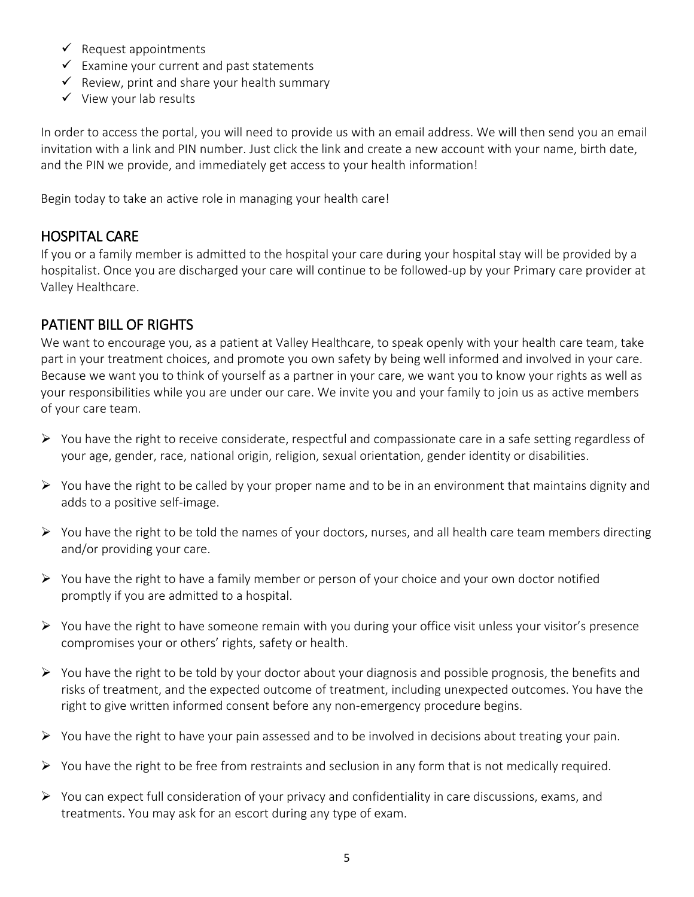- $\checkmark$  Request appointments
- $\checkmark$  Examine your current and past statements
- $\checkmark$  Review, print and share your health summary
- $\checkmark$  View your lab results

In order to access the portal, you will need to provide us with an email address. We will then send you an email invitation with a link and PIN number. Just click the link and create a new account with your name, birth date, and the PIN we provide, and immediately get access to your health information!

Begin today to take an active role in managing your health care!

# HOSPITAL CARE

If you or a family member is admitted to the hospital your care during your hospital stay will be provided by a hospitalist. Once you are discharged your care will continue to be followed-up by your Primary care provider at Valley Healthcare.

# PATIENT BILL OF RIGHTS

We want to encourage you, as a patient at Valley Healthcare, to speak openly with your health care team, take part in your treatment choices, and promote you own safety by being well informed and involved in your care. Because we want you to think of yourself as a partner in your care, we want you to know your rights as well as your responsibilities while you are under our care. We invite you and your family to join us as active members of your care team.

- $\triangleright$  You have the right to receive considerate, respectful and compassionate care in a safe setting regardless of your age, gender, race, national origin, religion, sexual orientation, gender identity or disabilities.
- $\triangleright$  You have the right to be called by your proper name and to be in an environment that maintains dignity and adds to a positive self-image.
- $\triangleright$  You have the right to be told the names of your doctors, nurses, and all health care team members directing and/or providing your care.
- $\triangleright$  You have the right to have a family member or person of your choice and your own doctor notified promptly if you are admitted to a hospital.
- $\triangleright$  You have the right to have someone remain with you during your office visit unless your visitor's presence compromises your or others' rights, safety or health.
- $\triangleright$  You have the right to be told by your doctor about your diagnosis and possible prognosis, the benefits and risks of treatment, and the expected outcome of treatment, including unexpected outcomes. You have the right to give written informed consent before any non-emergency procedure begins.
- $\triangleright$  You have the right to have your pain assessed and to be involved in decisions about treating your pain.
- $\triangleright$  You have the right to be free from restraints and seclusion in any form that is not medically required.
- $\triangleright$  You can expect full consideration of your privacy and confidentiality in care discussions, exams, and treatments. You may ask for an escort during any type of exam.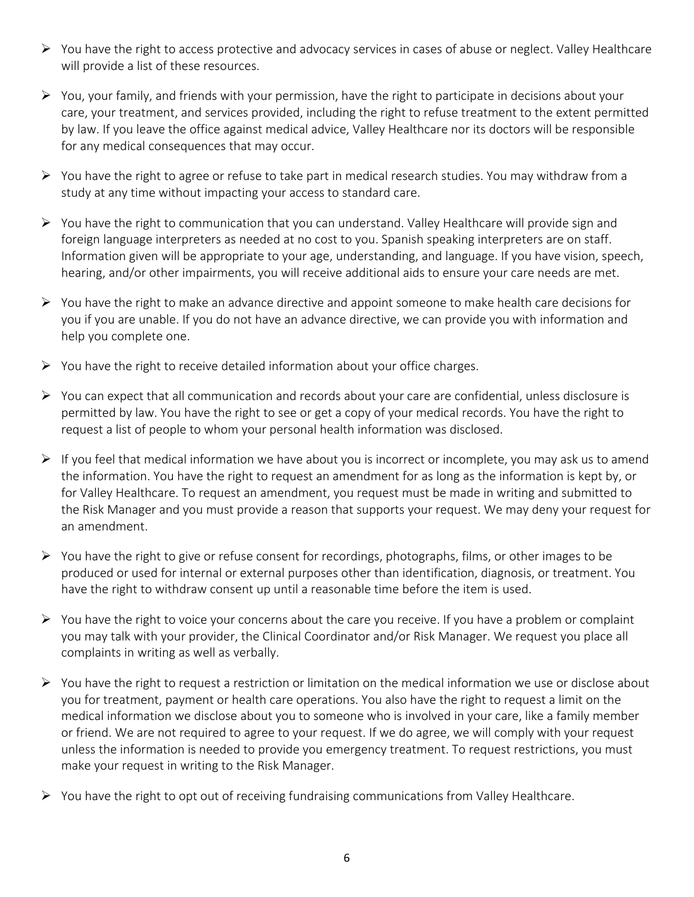- You have the right to access protective and advocacy services in cases of abuse or neglect. Valley Healthcare will provide a list of these resources.
- $\triangleright$  You, your family, and friends with your permission, have the right to participate in decisions about your care, your treatment, and services provided, including the right to refuse treatment to the extent permitted by law. If you leave the office against medical advice, Valley Healthcare nor its doctors will be responsible for any medical consequences that may occur.
- $\triangleright$  You have the right to agree or refuse to take part in medical research studies. You may withdraw from a study at any time without impacting your access to standard care.
- $\triangleright$  You have the right to communication that you can understand. Valley Healthcare will provide sign and foreign language interpreters as needed at no cost to you. Spanish speaking interpreters are on staff. Information given will be appropriate to your age, understanding, and language. If you have vision, speech, hearing, and/or other impairments, you will receive additional aids to ensure your care needs are met.
- $\triangleright$  You have the right to make an advance directive and appoint someone to make health care decisions for you if you are unable. If you do not have an advance directive, we can provide you with information and help you complete one.
- $\triangleright$  You have the right to receive detailed information about your office charges.
- $\triangleright$  You can expect that all communication and records about your care are confidential, unless disclosure is permitted by law. You have the right to see or get a copy of your medical records. You have the right to request a list of people to whom your personal health information was disclosed.
- $\triangleright$  If you feel that medical information we have about you is incorrect or incomplete, you may ask us to amend the information. You have the right to request an amendment for as long as the information is kept by, or for Valley Healthcare. To request an amendment, you request must be made in writing and submitted to the Risk Manager and you must provide a reason that supports your request. We may deny your request for an amendment.
- $\triangleright$  You have the right to give or refuse consent for recordings, photographs, films, or other images to be produced or used for internal or external purposes other than identification, diagnosis, or treatment. You have the right to withdraw consent up until a reasonable time before the item is used.
- $\triangleright$  You have the right to voice your concerns about the care you receive. If you have a problem or complaint you may talk with your provider, the Clinical Coordinator and/or Risk Manager. We request you place all complaints in writing as well as verbally.
- $\triangleright$  You have the right to request a restriction or limitation on the medical information we use or disclose about you for treatment, payment or health care operations. You also have the right to request a limit on the medical information we disclose about you to someone who is involved in your care, like a family member or friend. We are not required to agree to your request. If we do agree, we will comply with your request unless the information is needed to provide you emergency treatment. To request restrictions, you must make your request in writing to the Risk Manager.
- $\triangleright$  You have the right to opt out of receiving fundraising communications from Valley Healthcare.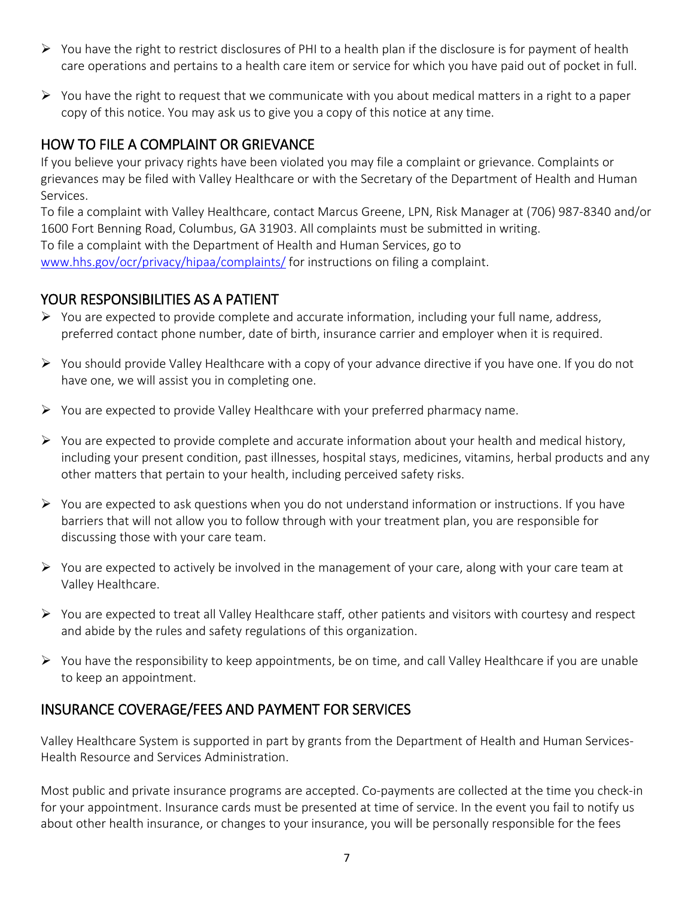- $\triangleright$  You have the right to restrict disclosures of PHI to a health plan if the disclosure is for payment of health care operations and pertains to a health care item or service for which you have paid out of pocket in full.
- $\triangleright$  You have the right to request that we communicate with you about medical matters in a right to a paper copy of this notice. You may ask us to give you a copy of this notice at any time.

# HOW TO FILE A COMPLAINT OR GRIEVANCE

If you believe your privacy rights have been violated you may file a complaint or grievance. Complaints or grievances may be filed with Valley Healthcare or with the Secretary of the Department of Health and Human Services.

To file a complaint with Valley Healthcare, contact Marcus Greene, LPN, Risk Manager at (706) 987-8340 and/or 1600 Fort Benning Road, Columbus, GA 31903. All complaints must be submitted in writing. To file a complaint with the Department of Health and Human Services, go to [www.hhs.gov/ocr/privacy/hipaa/complaints/](http://www.hhs.gov/ocr/privacy/hipaa/complaints/) for instructions on filing a complaint.

#### YOUR RESPONSIBILITIES AS A PATIENT

- $\triangleright$  You are expected to provide complete and accurate information, including your full name, address, preferred contact phone number, date of birth, insurance carrier and employer when it is required.
- $\triangleright$  You should provide Valley Healthcare with a copy of your advance directive if you have one. If you do not have one, we will assist you in completing one.
- $\triangleright$  You are expected to provide Valley Healthcare with your preferred pharmacy name.
- $\triangleright$  You are expected to provide complete and accurate information about your health and medical history, including your present condition, past illnesses, hospital stays, medicines, vitamins, herbal products and any other matters that pertain to your health, including perceived safety risks.
- $\triangleright$  You are expected to ask questions when you do not understand information or instructions. If you have barriers that will not allow you to follow through with your treatment plan, you are responsible for discussing those with your care team.
- $\triangleright$  You are expected to actively be involved in the management of your care, along with your care team at Valley Healthcare.
- You are expected to treat all Valley Healthcare staff, other patients and visitors with courtesy and respect and abide by the rules and safety regulations of this organization.
- $\triangleright$  You have the responsibility to keep appointments, be on time, and call Valley Healthcare if you are unable to keep an appointment.

# INSURANCE COVERAGE/FEES AND PAYMENT FOR SERVICES

Valley Healthcare System is supported in part by grants from the Department of Health and Human Services-Health Resource and Services Administration.

Most public and private insurance programs are accepted. Co-payments are collected at the time you check-in for your appointment. Insurance cards must be presented at time of service. In the event you fail to notify us about other health insurance, or changes to your insurance, you will be personally responsible for the fees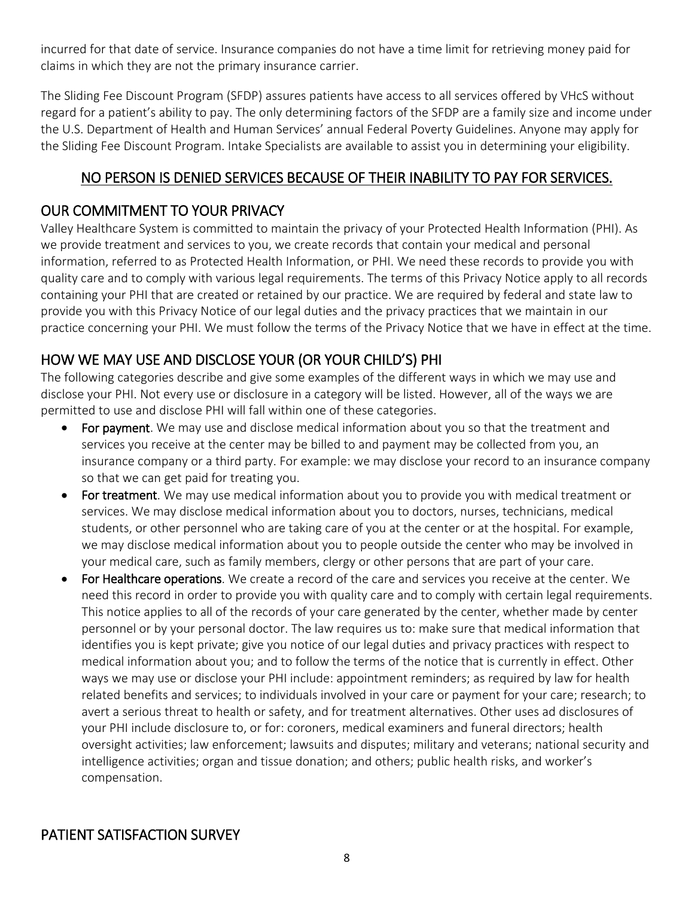incurred for that date of service. Insurance companies do not have a time limit for retrieving money paid for claims in which they are not the primary insurance carrier.

The Sliding Fee Discount Program (SFDP) assures patients have access to all services offered by VHcS without regard for a patient's ability to pay. The only determining factors of the SFDP are a family size and income under the U.S. Department of Health and Human Services' annual Federal Poverty Guidelines. Anyone may apply for the Sliding Fee Discount Program. Intake Specialists are available to assist you in determining your eligibility.

# NO PERSON IS DENIED SERVICES BECAUSE OF THEIR INABILITY TO PAY FOR SERVICES.

# OUR COMMITMENT TO YOUR PRIVACY

Valley Healthcare System is committed to maintain the privacy of your Protected Health Information (PHI). As we provide treatment and services to you, we create records that contain your medical and personal information, referred to as Protected Health Information, or PHI. We need these records to provide you with quality care and to comply with various legal requirements. The terms of this Privacy Notice apply to all records containing your PHI that are created or retained by our practice. We are required by federal and state law to provide you with this Privacy Notice of our legal duties and the privacy practices that we maintain in our practice concerning your PHI. We must follow the terms of the Privacy Notice that we have in effect at the time.

# HOW WE MAY USE AND DISCLOSE YOUR (OR YOUR CHILD'S) PHI

The following categories describe and give some examples of the different ways in which we may use and disclose your PHI. Not every use or disclosure in a category will be listed. However, all of the ways we are permitted to use and disclose PHI will fall within one of these categories.

- For payment. We may use and disclose medical information about you so that the treatment and services you receive at the center may be billed to and payment may be collected from you, an insurance company or a third party. For example: we may disclose your record to an insurance company so that we can get paid for treating you.
- For treatment. We may use medical information about you to provide you with medical treatment or services. We may disclose medical information about you to doctors, nurses, technicians, medical students, or other personnel who are taking care of you at the center or at the hospital. For example, we may disclose medical information about you to people outside the center who may be involved in your medical care, such as family members, clergy or other persons that are part of your care.
- For Healthcare operations. We create a record of the care and services you receive at the center. We need this record in order to provide you with quality care and to comply with certain legal requirements. This notice applies to all of the records of your care generated by the center, whether made by center personnel or by your personal doctor. The law requires us to: make sure that medical information that identifies you is kept private; give you notice of our legal duties and privacy practices with respect to medical information about you; and to follow the terms of the notice that is currently in effect. Other ways we may use or disclose your PHI include: appointment reminders; as required by law for health related benefits and services; to individuals involved in your care or payment for your care; research; to avert a serious threat to health or safety, and for treatment alternatives. Other uses ad disclosures of your PHI include disclosure to, or for: coroners, medical examiners and funeral directors; health oversight activities; law enforcement; lawsuits and disputes; military and veterans; national security and intelligence activities; organ and tissue donation; and others; public health risks, and worker's compensation.

#### PATIENT SATISFACTION SURVEY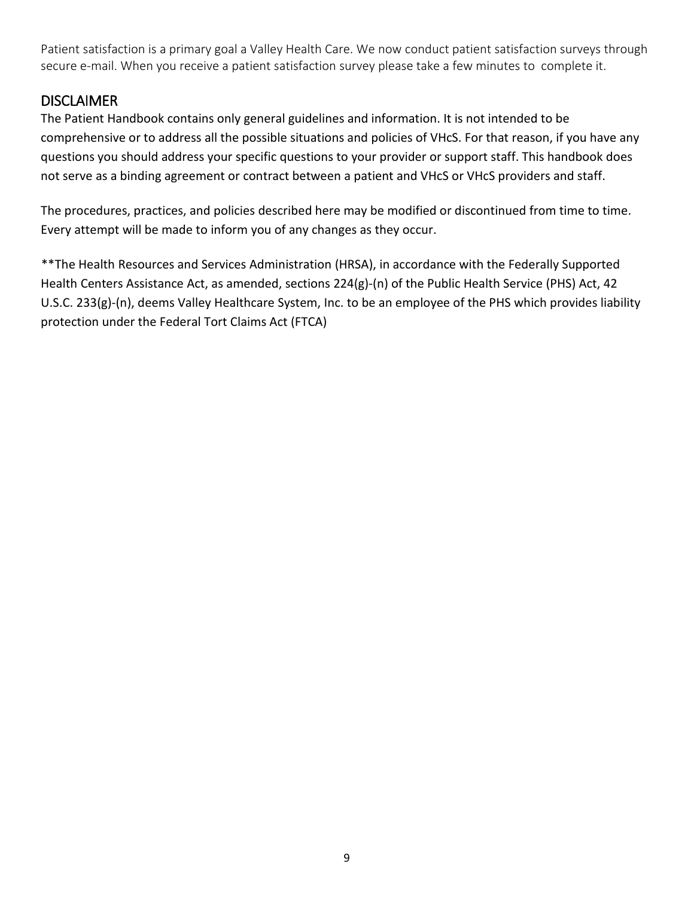Patient satisfaction is a primary goal a Valley Health Care. We now conduct patient satisfaction surveys through secure e-mail. When you receive a patient satisfaction survey please take a few minutes to complete it.

#### **DISCLAIMER**

The Patient Handbook contains only general guidelines and information. It is not intended to be comprehensive or to address all the possible situations and policies of VHcS. For that reason, if you have any questions you should address your specific questions to your provider or support staff. This handbook does not serve as a binding agreement or contract between a patient and VHcS or VHcS providers and staff.

The procedures, practices, and policies described here may be modified or discontinued from time to time. Every attempt will be made to inform you of any changes as they occur.

\*\*The Health Resources and Services Administration (HRSA), in accordance with the Federally Supported Health Centers Assistance Act, as amended, sections 224(g)-(n) of the Public Health Service (PHS) Act, 42 U.S.C. 233(g)-(n), deems Valley Healthcare System, Inc. to be an employee of the PHS which provides liability protection under the Federal Tort Claims Act (FTCA)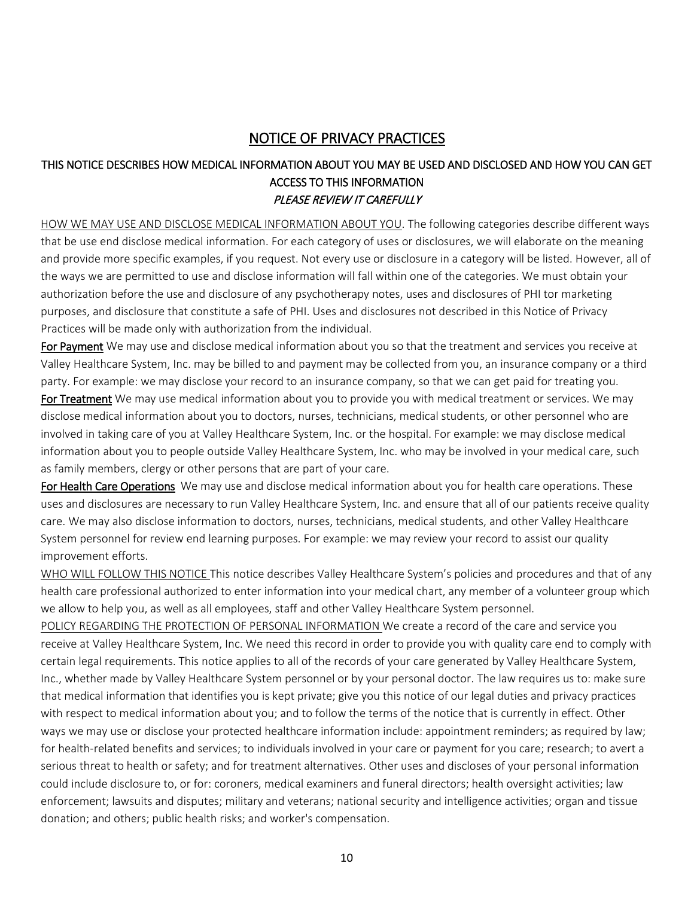#### NOTICE OF PRIVACY PRACTICES

#### THIS NOTICE DESCRIBES HOW MEDICAL INFORMATION ABOUT YOU MAY BE USED AND DISCLOSED AND HOW YOU CAN GET ACCESS TO THIS INFORMATION PLEASE REVIEW IT CAREFULLY

HOW WE MAY USE AND DISCLOSE MEDICAL INFORMATION ABOUT YOU. The following categories describe different ways that be use end disclose medical information. For each category of uses or disclosures, we will elaborate on the meaning and provide more specific examples, if you request. Not every use or disclosure in a category will be listed. However, all of the ways we are permitted to use and disclose information will fall within one of the categories. We must obtain your authorization before the use and disclosure of any psychotherapy notes, uses and disclosures of PHI tor marketing purposes, and disclosure that constitute a safe of PHI. Uses and disclosures not described in this Notice of Privacy Practices will be made only with authorization from the individual.

For Payment We may use and disclose medical information about you so that the treatment and services you receive at Valley Healthcare System, Inc. may be billed to and payment may be collected from you, an insurance company or a third party. For example: we may disclose your record to an insurance company, so that we can get paid for treating you.

For Treatment We may use medical information about you to provide you with medical treatment or services. We may disclose medical information about you to doctors, nurses, technicians, medical students, or other personnel who are involved in taking care of you at Valley Healthcare System, Inc. or the hospital. For example: we may disclose medical information about you to people outside Valley Healthcare System, Inc. who may be involved in your medical care, such as family members, clergy or other persons that are part of your care.

For Health Care Operations We may use and disclose medical information about you for health care operations. These uses and disclosures are necessary to run Valley Healthcare System, Inc. and ensure that all of our patients receive quality care. We may also disclose information to doctors, nurses, technicians, medical students, and other Valley Healthcare System personnel for review end learning purposes. For example: we may review your record to assist our quality improvement efforts.

WHO WILL FOLLOW THIS NOTICE This notice describes Valley Healthcare System's policies and procedures and that of any health care professional authorized to enter information into your medical chart, any member of a volunteer group which we allow to help you, as well as all employees, staff and other Valley Healthcare System personnel.

POLICY REGARDING THE PROTECTION OF PERSONAL INFORMATION We create a record of the care and service you receive at Valley Healthcare System, Inc. We need this record in order to provide you with quality care end to comply with certain legal requirements. This notice applies to all of the records of your care generated by Valley Healthcare System, Inc., whether made by Valley Healthcare System personnel or by your personal doctor. The law requires us to: make sure that medical information that identifies you is kept private; give you this notice of our legal duties and privacy practices with respect to medical information about you; and to follow the terms of the notice that is currently in effect. Other ways we may use or disclose your protected healthcare information include: appointment reminders; as required by law; for health-related benefits and services; to individuals involved in your care or payment for you care; research; to avert a serious threat to health or safety; and for treatment alternatives. Other uses and discloses of your personal information could include disclosure to, or for: coroners, medical examiners and funeral directors; health oversight activities; law enforcement; lawsuits and disputes; military and veterans; national security and intelligence activities; organ and tissue donation; and others; public health risks; and worker's compensation.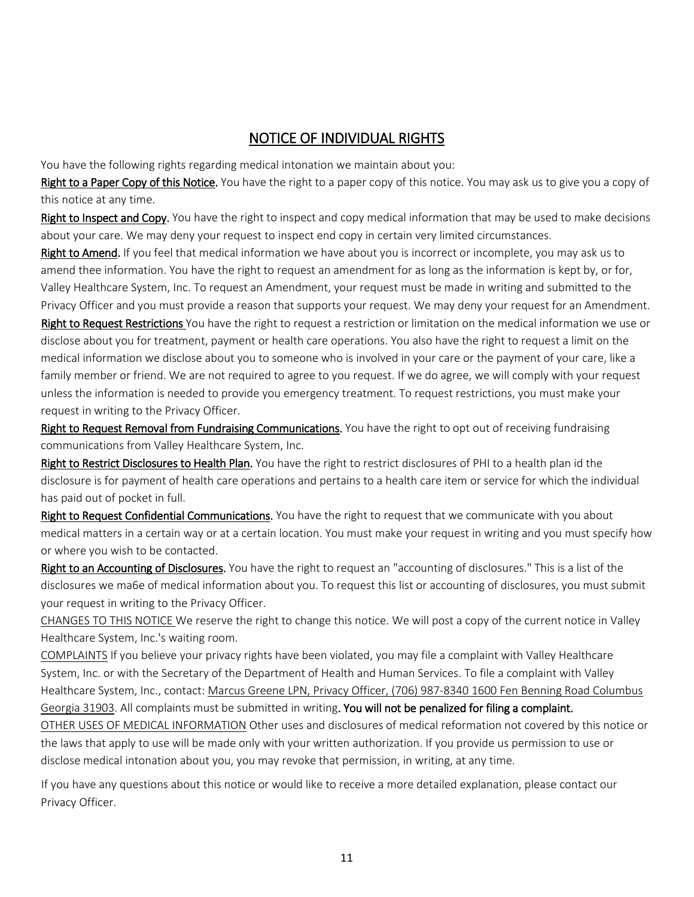#### NOTICE OF INDIVIDUAL RIGHTS

You have the following rights regarding medical intonation we maintain about you:

Right to a Paper Copy of this Notice. You have the right to a paper copy of this notice. You may ask us to give you a copy of this notice at any time.

Right to Inspect and Copy. You have the right to inspect and copy medical information that may be used to make decisions about your care. We may deny your request to inspect end copy in certain very limited circumstances.

Right to Amend. If you feel that medical information we have about you is incorrect or incomplete, you may ask us to amend thee information. You have the right to request an amendment for as long as the information is kept by, or for, Valley Healthcare System, Inc. To request an Amendment, your request must be made in writing and submitted to the Privacy Officer and you must provide a reason that supports your request. We may deny your request for an Amendment.

Right to Request Restrictions You have the right to request a restriction or limitation on the medical information we use or disclose about you for treatment, payment or health care operations. You also have the right to request a limit on the medical information we disclose about you to someone who is involved in your care or the payment of your care, like a family member or friend. We are not required to agree to you request. If we do agree, we will comply with your request unless the information is needed to provide you emergency treatment. To request restrictions, you must make your request in writing to the Privacy Officer.

Right to Request Removal from Fundraising Communications. You have the right to opt out of receiving fundraising communications from Valley Healthcare System, Inc.

Right to Restrict Disclosures to Health Plan. You have the right to restrict disclosures of PHI to a health plan id the disclosure is for payment of health care operations and pertains to a health care item or service for which the individual has paid out of pocket in full.

Right to Request Confidential Communications. You have the right to request that we communicate with you about medical matters in a certain way or at a certain location. You must make your request in writing and you must specify how or where you wish to be contacted.

Right to an Accounting of Disclosures. You have the right to request an "accounting of disclosures." This is a list of the disclosures we ma6e of medical information about you. To request this list or accounting of disclosures, you must submit your request in writing to the Privacy Officer.

CHANGES TO THIS NOTICE We reserve the right to change this notice. We will post a copy of the current notice in Valley Healthcare System, Inc.'s waiting room.

COMPLAINTS If you believe your privacy rights have been violated, you may file a complaint with Valley Healthcare System, Inc. or with the Secretary of the Department of Health and Human Services. To file a complaint with Valley Healthcare System, Inc., contact: Marcus Greene LPN, Privacy Officer, (706) 987-8340 1600 Fen Benning Road Columbus Georgia 31903. All complaints must be submitted in writing. You will not be penalized for filing a complaint. OTHER USES OF MEDICAL INFORMATION Other uses and disclosures of medical reformation not covered by this notice or the laws that apply to use will be made only with your written authorization. If you provide us permission to use or disclose medical intonation about you, you may revoke that permission, in writing, at any time.

If you have any questions about this notice or would like to receive a more detailed explanation, please contact our Privacy Officer.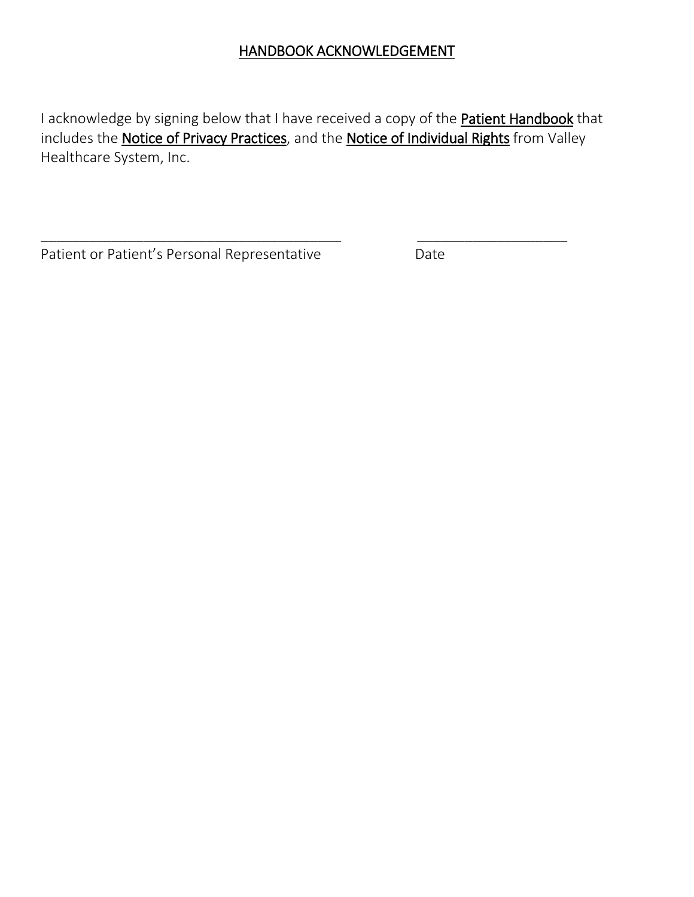## HANDBOOK ACKNOWLEDGEMENT

I acknowledge by signing below that I have received a copy of the Patient Handbook that includes the **Notice of Privacy Practices**, and the **Notice of Individual Rights** from Valley Healthcare System, Inc.

\_\_\_\_\_\_\_\_\_\_\_\_\_\_\_\_\_\_\_\_\_\_\_\_\_\_\_\_\_\_\_\_\_\_\_\_\_\_ \_\_\_\_\_\_\_\_\_\_\_\_\_\_\_\_\_\_\_

Patient or Patient's Personal Representative Date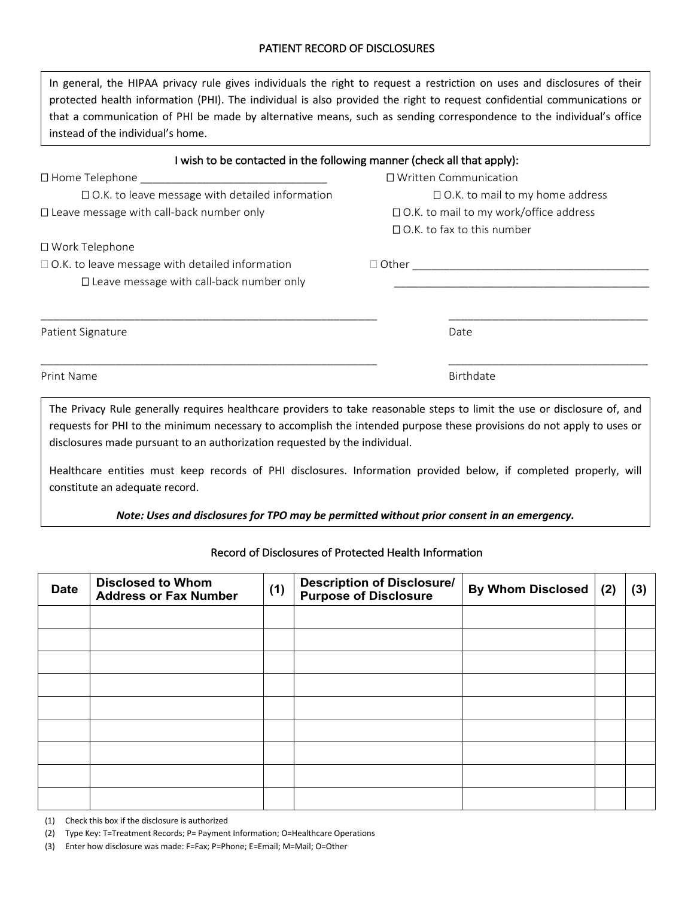#### PATIENT RECORD OF DISCLOSURES

| In general, the HIPAA privacy rule gives individuals the right to request a restriction on uses and disclosures of their |
|--------------------------------------------------------------------------------------------------------------------------|
| protected health information (PHI). The individual is also provided the right to request confidential communications or  |
| that a communication of PHI be made by alternative means, such as sending correspondence to the individual's office      |
| instead of the individual's home.                                                                                        |

| I wish to be contacted in the following manner (check all that apply):                                                   |                                               |           |  |
|--------------------------------------------------------------------------------------------------------------------------|-----------------------------------------------|-----------|--|
|                                                                                                                          | $\Box$ Written Communication                  |           |  |
| $\Box$ O.K. to leave message with detailed information                                                                   | $\Box$ O.K. to mail to my home address        |           |  |
| $\Box$ Leave message with call-back number only                                                                          | $\Box$ O.K. to mail to my work/office address |           |  |
|                                                                                                                          | $\Box$ O.K. to fax to this number             |           |  |
| □ Work Telephone                                                                                                         |                                               |           |  |
| $\Box$ O.K. to leave message with detailed information                                                                   |                                               |           |  |
| $\Box$ Leave message with call-back number only                                                                          |                                               |           |  |
|                                                                                                                          |                                               |           |  |
| Patient Signature                                                                                                        |                                               | Date      |  |
| Print Name                                                                                                               |                                               | Birthdate |  |
| The Privacy Rule generally requires healthcare providers to take reasonable steps to limit the use or disclosure of, and |                                               |           |  |

The Privacy Rule generally requires healthcare providers to take reasonable steps to limit the use or disclosure of, and requests for PHI to the minimum necessary to accomplish the intended purpose these provisions do not apply to uses or disclosures made pursuant to an authorization requested by the individual.

Healthcare entities must keep records of PHI disclosures. Information provided below, if completed properly, will constitute an adequate record.

#### *Note: Uses and disclosures for TPO may be permitted without prior consent in an emergency.*

| <b>Date</b> | <b>Disclosed to Whom</b><br><b>Address or Fax Number</b> | (1) | <b>Description of Disclosure/</b><br><b>Purpose of Disclosure</b> | <b>By Whom Disclosed</b> | (2) | (3) |
|-------------|----------------------------------------------------------|-----|-------------------------------------------------------------------|--------------------------|-----|-----|
|             |                                                          |     |                                                                   |                          |     |     |
|             |                                                          |     |                                                                   |                          |     |     |
|             |                                                          |     |                                                                   |                          |     |     |
|             |                                                          |     |                                                                   |                          |     |     |
|             |                                                          |     |                                                                   |                          |     |     |
|             |                                                          |     |                                                                   |                          |     |     |
|             |                                                          |     |                                                                   |                          |     |     |
|             |                                                          |     |                                                                   |                          |     |     |
|             |                                                          |     |                                                                   |                          |     |     |

Record of Disclosures of Protected Health Information

(1) Check this box if the disclosure is authorized

(2) Type Key: T=Treatment Records; P= Payment Information; O=Healthcare Operations

(3) Enter how disclosure was made: F=Fax; P=Phone; E=Email; M=Mail; O=Other